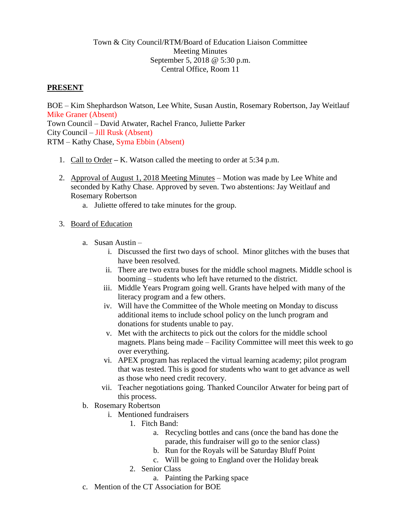## Town & City Council/RTM/Board of Education Liaison Committee Meeting Minutes September 5, 2018 @ 5:30 p.m. Central Office, Room 11

# **PRESENT**

BOE – Kim Shephardson Watson, Lee White, Susan Austin, Rosemary Robertson, Jay Weitlauf Mike Graner (Absent) Town Council – David Atwater, Rachel Franco, Juliette Parker City Council – Jill Rusk (Absent) RTM – Kathy Chase, Syma Ebbin (Absent)

- 1. Call to Order **–** K. Watson called the meeting to order at 5:34 p.m.
- 2. Approval of August 1, 2018 Meeting Minutes Motion was made by Lee White and seconded by Kathy Chase. Approved by seven. Two abstentions: Jay Weitlauf and Rosemary Robertson
	- a. Juliette offered to take minutes for the group.

## 3. Board of Education

- a. Susan Austin
	- i. Discussed the first two days of school. Minor glitches with the buses that have been resolved.
	- ii. There are two extra buses for the middle school magnets. Middle school is booming – students who left have returned to the district.
	- iii. Middle Years Program going well. Grants have helped with many of the literacy program and a few others.
	- iv. Will have the Committee of the Whole meeting on Monday to discuss additional items to include school policy on the lunch program and donations for students unable to pay.
	- v. Met with the architects to pick out the colors for the middle school magnets. Plans being made – Facility Committee will meet this week to go over everything.
	- vi. APEX program has replaced the virtual learning academy; pilot program that was tested. This is good for students who want to get advance as well as those who need credit recovery.
	- vii. Teacher negotiations going. Thanked Councilor Atwater for being part of this process.
- b. Rosemary Robertson
	- i. Mentioned fundraisers
		- 1. Fitch Band:
			- a. Recycling bottles and cans (once the band has done the parade, this fundraiser will go to the senior class)
			- b. Run for the Royals will be Saturday Bluff Point
			- c. Will be going to England over the Holiday break
		- 2. Senior Class
			- a. Painting the Parking space
- c. Mention of the CT Association for BOE